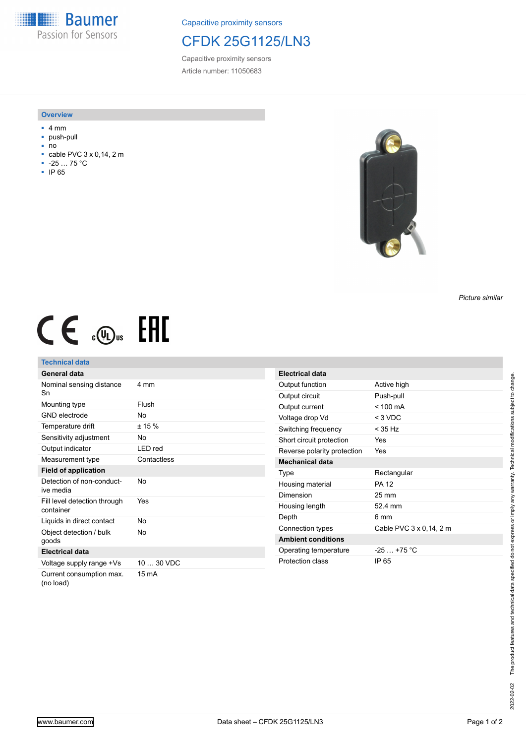**Baumer** Passion for Sensors

Capacitive proximity sensors

## CFDK 25G1125/LN3

Capacitive proximity sensors Article number: 11050683

#### **Overview**

- 4 mm
- push-pull
- no<br>■ cal
- cable PVC 3 x 0,14, 2 m ■ -25 … 75 °C
- IP 65



*Picture similar*

# $CE \mathcal{L}$  (Dus FAL

### **Technical data**

| General data                              |             |
|-------------------------------------------|-------------|
| Nominal sensing distance<br>Sn            | 4 mm        |
| Mounting type                             | Flush       |
| <b>GND</b> electrode                      | No          |
| Temperature drift                         | ± 15%       |
| Sensitivity adjustment                    | No          |
| Output indicator                          | LED red     |
| Measurement type                          | Contactless |
| <b>Field of application</b>               |             |
| Detection of non-conduct-<br>ive media    | Nο          |
| Fill level detection through<br>container | Yes         |
| Liquids in direct contact                 | No          |
| Object detection / bulk<br>goods          | No          |
| <b>Electrical data</b>                    |             |
| Voltage supply range +Vs                  | 10  30 VDC  |
| Current consumption max.<br>(no load)     | 15 mA       |

| <b>Electrical data</b>      |                         |
|-----------------------------|-------------------------|
| Output function             | Active high             |
| Output circuit              | Push-pull               |
| Output current              | $< 100 \text{ mA}$      |
| Voltage drop Vd             | $<$ 3 VDC               |
| Switching frequency         | < 35 Hz                 |
| Short circuit protection    | Yes                     |
| Reverse polarity protection | Yes                     |
| <b>Mechanical data</b>      |                         |
| Type                        | Rectangular             |
| Housing material            | PA 12                   |
| Dimension                   | 25 mm                   |
| Housing length              | 52 4 mm                 |
| Depth                       | ճ mm                    |
| Connection types            | Cable PVC 3 x 0.14, 2 m |
| <b>Ambient conditions</b>   |                         |
|                             |                         |
| Operating temperature       | $-25+75$ °C             |